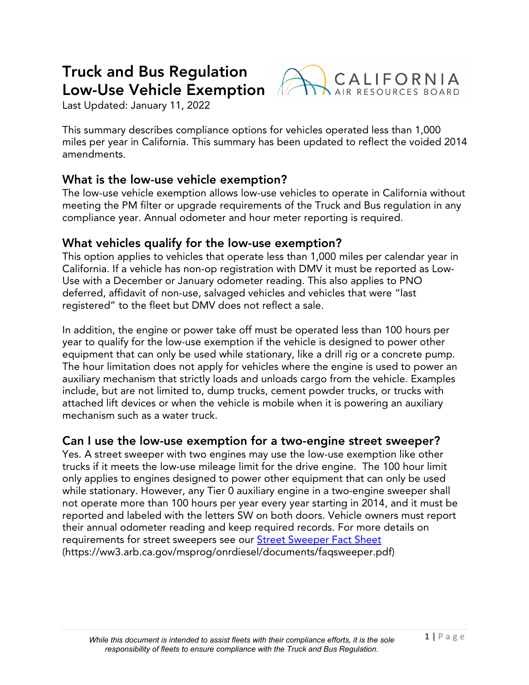# **Truck and Bus Regulation Low-Use Vehicle Exemption**



Last Updated: January 11, 2022

 This summary describes compliance options for vehicles operated less than 1,000 miles per year in California. This summary has been updated to reflect the voided 2014 amendments.

## **What is the low-use vehicle exemption?**

 The low-use vehicle exemption allows low-use vehicles to operate in California without meeting the PM filter or upgrade requirements of the Truck and Bus regulation in any compliance year. Annual odometer and hour meter reporting is required.

#### **What vehicles qualify for the low-use exemption?**

 This option applies to vehicles that operate less than 1,000 miles per calendar year in California. If a vehicle has non-op registration with DMV it must be reported as Low- Use with a December or January odometer reading. This also applies to PNO deferred, affidavit of non-use, salvaged vehicles and vehicles that were "last registered" to the fleet but DMV does not reflect a sale.

 In addition, the engine or power take off must be operated less than 100 hours per year to qualify for the low-use exemption if the vehicle is designed to power other equipment that can only be used while stationary, like a drill rig or a concrete pump. The hour limitation does not apply for vehicles where the engine is used to power an auxiliary mechanism that strictly loads and unloads cargo from the vehicle. Examples include, but are not limited to, dump trucks, cement powder trucks, or trucks with attached lift devices or when the vehicle is mobile when it is powering an auxiliary mechanism such as a water truck.

# **Can I use the low-use exemption for a two-engine street sweeper?**

 Yes. A street sweeper with two engines may use the low-use exemption like other trucks if it meets the low-use mileage limit for the drive engine. The 100 hour limit only applies to engines designed to power other equipment that can only be used while stationary. However, any Tier 0 auxiliary engine in a two-engine sweeper shall not operate more than 100 hours per year every year starting in 2014, and it must be reported and labeled with the letters SW on both doors. Vehicle owners must report their annual odometer reading and keep required records. For more details on requirements for street sweepers see our <u>Street Sweeper Fact Sheet</u> [\(https://ww3.arb.ca.gov/msprog/onrdiesel/documents/faqsweeper.pdf\)](https://ww3.arb.ca.gov/msprog/onrdiesel/documents/faqsweeper.pdf)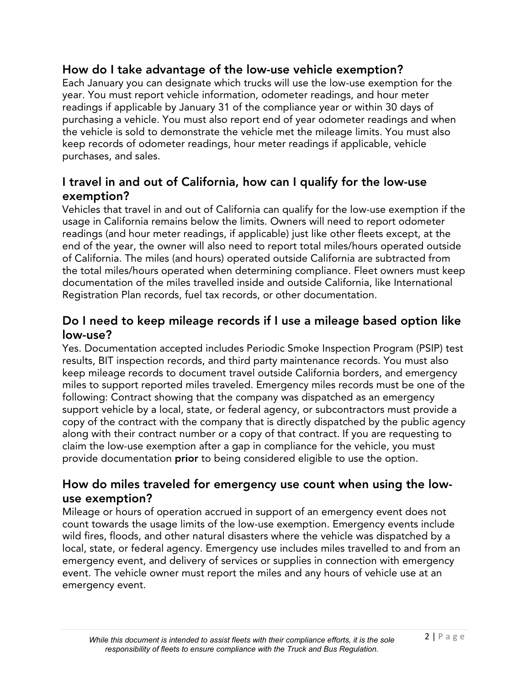## **How do I take advantage of the low-use vehicle exemption?**

 Each January you can designate which trucks will use the low-use exemption for the year. You must report vehicle information, odometer readings, and hour meter readings if applicable by January 31 of the compliance year or within 30 days of purchasing a vehicle. You must also report end of year odometer readings and when the vehicle is sold to demonstrate the vehicle met the mileage limits. You must also keep records of odometer readings, hour meter readings if applicable, vehicle purchases, and sales.

# **I travel in and out of California, how can I qualify for the low-use exemption?**

 Vehicles that travel in and out of California can qualify for the low-use exemption if the usage in California remains below the limits. Owners will need to report odometer readings (and hour meter readings, if applicable) just like other fleets except, at the end of the year, the owner will also need to report total miles/hours operated outside of California. The miles (and hours) operated outside California are subtracted from the total miles/hours operated when determining compliance. Fleet owners must keep documentation of the miles travelled inside and outside California, like International Registration Plan records, fuel tax records, or other documentation.

## **Do I need to keep mileage records if I use a mileage based option like low-use?**

 Yes. Documentation accepted includes Periodic Smoke Inspection Program (PSIP) test results, BIT inspection records, and third party maintenance records. You must also keep mileage records to document travel outside California borders, and emergency miles to support reported miles traveled. Emergency miles records must be one of the following: Contract showing that the company was dispatched as an emergency support vehicle by a local, state, or federal agency, or subcontractors must provide a copy of the contract with the company that is directly dispatched by the public agency along with their contract number or a copy of that contract. If you are requesting to claim the low-use exemption after a gap in compliance for the vehicle, you must provide documentation **prior** to being considered eligible to use the option.

## **How do miles traveled for emergency use count when using the lowuse exemption?**

 Mileage or hours of operation accrued in support of an emergency event does not count towards the usage limits of the low-use exemption. Emergency events include wild fires, floods, and other natural disasters where the vehicle was dispatched by a local, state, or federal agency. Emergency use includes miles travelled to and from an emergency event, and delivery of services or supplies in connection with emergency event. The vehicle owner must report the miles and any hours of vehicle use at an emergency event.